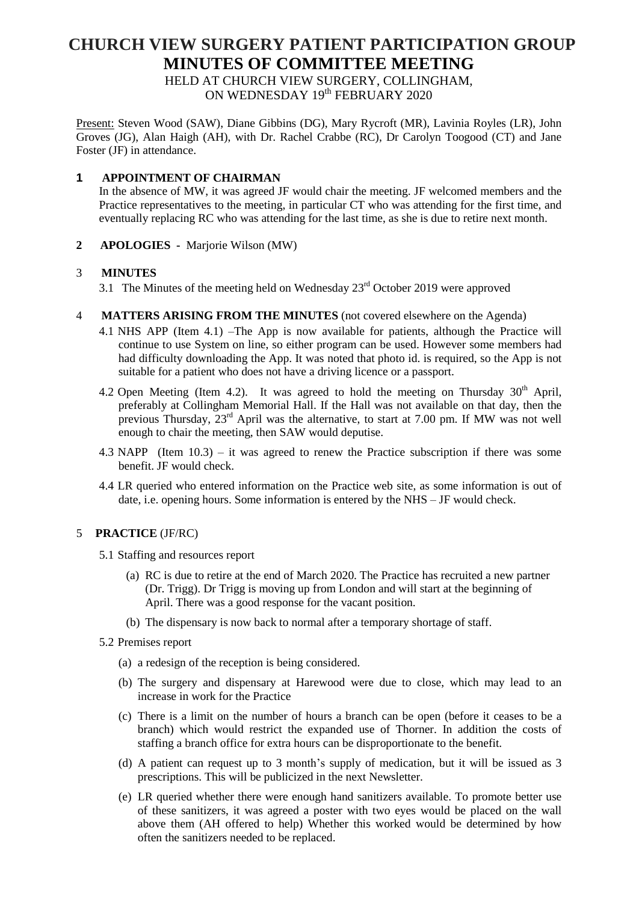# **CHURCH VIEW SURGERY PATIENT PARTICIPATION GROUP MINUTES OF COMMITTEE MEETING**

HELD AT CHURCH VIEW SURGERY, COLLINGHAM, ON WEDNESDAY 19<sup>th</sup> FEBRUARY 2020

Present: Steven Wood (SAW), Diane Gibbins (DG), Mary Rycroft (MR), Lavinia Royles (LR), John Groves (JG), Alan Haigh (AH), with Dr. Rachel Crabbe (RC), Dr Carolyn Toogood (CT) and Jane Foster (JF) in attendance.

### **1 APPOINTMENT OF CHAIRMAN**

In the absence of MW, it was agreed JF would chair the meeting. JF welcomed members and the Practice representatives to the meeting, in particular CT who was attending for the first time, and eventually replacing RC who was attending for the last time, as she is due to retire next month.

**2 APOLOGIES -** Marjorie Wilson (MW)

### 3 **MINUTES**

- 3.1 The Minutes of the meeting held on Wednesday  $23<sup>rd</sup>$  October 2019 were approved
- 4 **MATTERS ARISING FROM THE MINUTES** (not covered elsewhere on the Agenda)
	- 4.1 NHS APP (Item 4.1) –The App is now available for patients, although the Practice will continue to use System on line, so either program can be used. However some members had had difficulty downloading the App. It was noted that photo id. is required, so the App is not suitable for a patient who does not have a driving licence or a passport.
	- 4.2 Open Meeting (Item 4.2). It was agreed to hold the meeting on Thursday  $30<sup>th</sup>$  April, preferably at Collingham Memorial Hall. If the Hall was not available on that day, then the previous Thursday,  $23^{rd}$  April was the alternative, to start at 7.00 pm. If MW was not well enough to chair the meeting, then SAW would deputise.
	- 4.3 NAPP (Item 10.3) it was agreed to renew the Practice subscription if there was some benefit. JF would check.
	- 4.4 LR queried who entered information on the Practice web site, as some information is out of date, i.e. opening hours. Some information is entered by the NHS – JF would check.

#### 5 **PRACTICE** (JF/RC)

- 5.1 Staffing and resources report
	- (a) RC is due to retire at the end of March 2020. The Practice has recruited a new partner (Dr. Trigg). Dr Trigg is moving up from London and will start at the beginning of April. There was a good response for the vacant position.
	- (b) The dispensary is now back to normal after a temporary shortage of staff.
- 5.2 Premises report
	- (a) a redesign of the reception is being considered.
	- (b) The surgery and dispensary at Harewood were due to close, which may lead to an increase in work for the Practice
	- (c) There is a limit on the number of hours a branch can be open (before it ceases to be a branch) which would restrict the expanded use of Thorner. In addition the costs of staffing a branch office for extra hours can be disproportionate to the benefit.
	- (d) A patient can request up to 3 month's supply of medication, but it will be issued as 3 prescriptions. This will be publicized in the next Newsletter.
	- (e) LR queried whether there were enough hand sanitizers available. To promote better use of these sanitizers, it was agreed a poster with two eyes would be placed on the wall above them (AH offered to help) Whether this worked would be determined by how often the sanitizers needed to be replaced.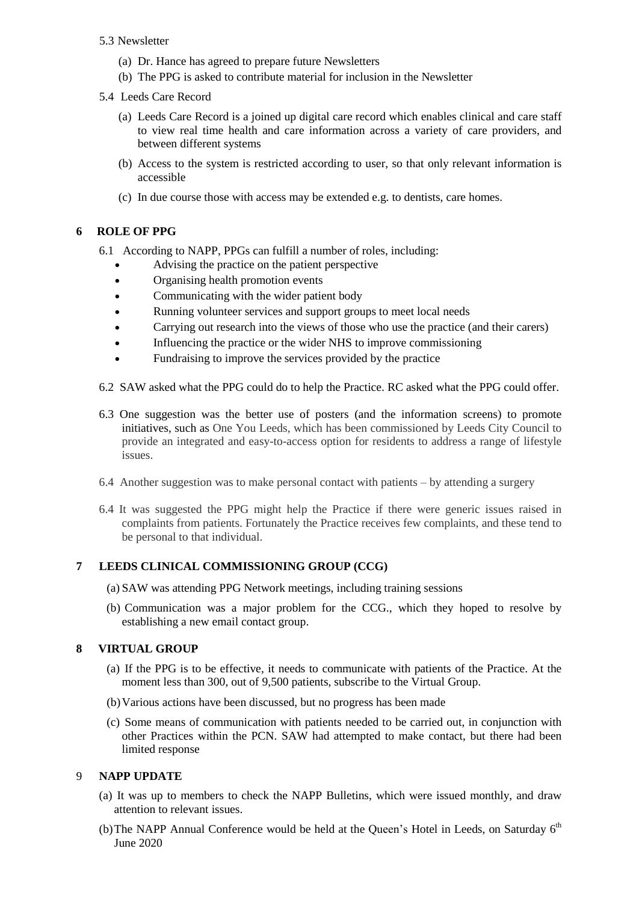- 5.3 Newsletter
	- (a) Dr. Hance has agreed to prepare future Newsletters
	- (b) The PPG is asked to contribute material for inclusion in the Newsletter
- 5.4 Leeds Care Record
	- (a) Leeds Care Record is a joined up digital care record which enables clinical and care staff to view real time health and care information across a variety of care providers, and between different systems
	- (b) Access to the system is restricted according to user, so that only relevant information is accessible
	- (c) In due course those with access may be extended e.g. to dentists, care homes.

# **6 ROLE OF PPG**

- 6.1 According to NAPP, PPGs can fulfill a number of roles, including:
	- Advising the practice on the patient perspective
	- Organising health promotion events
	- Communicating with the wider patient body
	- Running volunteer services and support groups to meet local needs
	- Carrying out research into the views of those who use the practice (and their carers)
	- Influencing the practice or the wider NHS to improve commissioning
	- Fundraising to improve the services provided by the practice
- 6.2 SAW asked what the PPG could do to help the Practice. RC asked what the PPG could offer.
- 6.3 One suggestion was the better use of posters (and the information screens) to promote initiatives, such as One You Leeds, which has been commissioned by Leeds City Council to provide an integrated and easy-to-access option for residents to address a range of lifestyle issues.
- 6.4 Another suggestion was to make personal contact with patients by attending a surgery
- 6.4 It was suggested the PPG might help the Practice if there were generic issues raised in complaints from patients. Fortunately the Practice receives few complaints, and these tend to be personal to that individual.

## **7 LEEDS CLINICAL COMMISSIONING GROUP (CCG)**

- (a) SAW was attending PPG Network meetings, including training sessions
- (b) Communication was a major problem for the CCG., which they hoped to resolve by establishing a new email contact group.

## **8 VIRTUAL GROUP**

- (a) If the PPG is to be effective, it needs to communicate with patients of the Practice. At the moment less than 300, out of 9,500 patients, subscribe to the Virtual Group.
- (b)Various actions have been discussed, but no progress has been made
- (c) Some means of communication with patients needed to be carried out, in conjunction with other Practices within the PCN. SAW had attempted to make contact, but there had been limited response

## 9 **NAPP UPDATE**

- (a) It was up to members to check the NAPP Bulletins, which were issued monthly, and draw attention to relevant issues.
- (b) The NAPP Annual Conference would be held at the Queen's Hotel in Leeds, on Saturday  $6<sup>th</sup>$ June 2020